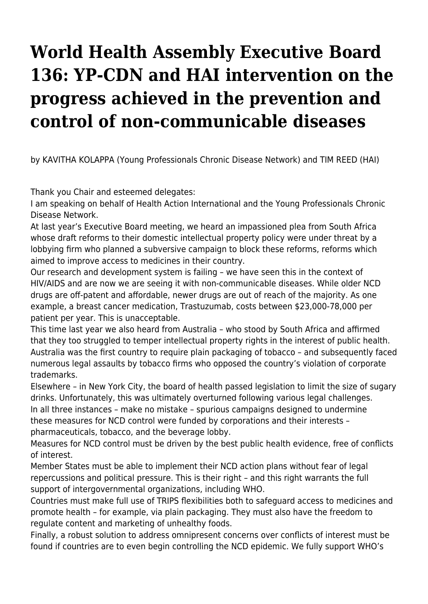## **World Health Assembly Executive Board 136: YP-CDN and HAI intervention on the progress achieved in the prevention and control of non-communicable diseases**

by KAVITHA KOLAPPA (Young Professionals Chronic Disease Network) and TIM REED (HAI)

Thank you Chair and esteemed delegates:

I am speaking on behalf of Health Action International and the Young Professionals Chronic Disease Network.

At last year's Executive Board meeting, we heard an impassioned plea from South Africa whose draft reforms to their domestic intellectual property policy were under threat by a lobbying firm who planned a subversive campaign to block these reforms, reforms which aimed to improve access to medicines in their country.

Our research and development system is failing – we have seen this in the context of HIV/AIDS and are now we are seeing it with non-communicable diseases. While older NCD drugs are off-patent and affordable, newer drugs are out of reach of the majority. As one example, a breast cancer medication, Trastuzumab, costs between \$23,000-78,000 per patient per year. This is unacceptable.

This time last year we also heard from Australia – who stood by South Africa and affirmed that they too struggled to temper intellectual property rights in the interest of public health. Australia was the first country to require plain packaging of tobacco – and subsequently faced numerous legal assaults by tobacco firms who opposed the country's violation of corporate trademarks.

Elsewhere – in New York City, the board of health passed legislation to limit the size of sugary drinks. Unfortunately, this was ultimately overturned following various legal challenges. In all three instances – make no mistake – spurious campaigns designed to undermine these measures for NCD control were funded by corporations and their interests – pharmaceuticals, tobacco, and the beverage lobby.

Measures for NCD control must be driven by the best public health evidence, free of conflicts of interest.

Member States must be able to implement their NCD action plans without fear of legal repercussions and political pressure. This is their right – and this right warrants the full support of intergovernmental organizations, including WHO.

Countries must make full use of TRIPS flexibilities both to safeguard access to medicines and promote health – for example, via plain packaging. They must also have the freedom to regulate content and marketing of unhealthy foods.

Finally, a robust solution to address omnipresent concerns over conflicts of interest must be found if countries are to even begin controlling the NCD epidemic. We fully support WHO's